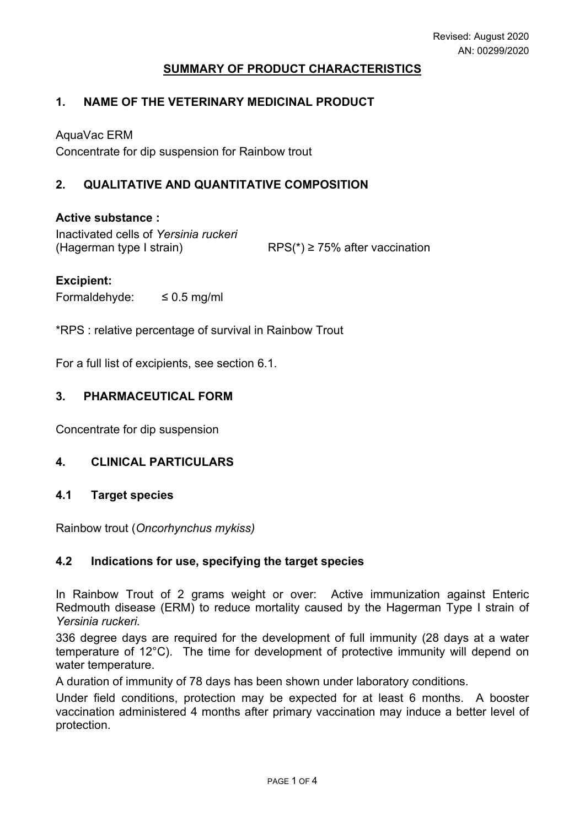#### **SUMMARY OF PRODUCT CHARACTERISTICS**

#### **1. NAME OF THE VETERINARY MEDICINAL PRODUCT**

AquaVac ERM

Concentrate for dip suspension for Rainbow trout

## **2. QUALITATIVE AND QUANTITATIVE COMPOSITION**

#### **Active substance :**

Inactivated cells of *Yersinia ruckeri* (Hagerman type I strain) RPS( $*$ )  $\ge$  75% after vaccination

#### **Excipient:**

Formaldehyde:  $\leq 0.5$  mg/ml

\*RPS : relative percentage of survival in Rainbow Trout

For a full list of excipients, see section 6.1.

#### **3. PHARMACEUTICAL FORM**

Concentrate for dip suspension

## **4. CLINICAL PARTICULARS**

#### **4.1 Target species**

Rainbow trout (*Oncorhynchus mykiss)*

#### **4.2 Indications for use, specifying the target species**

In Rainbow Trout of 2 grams weight or over: Active immunization against Enteric Redmouth disease (ERM) to reduce mortality caused by the Hagerman Type I strain of *Yersinia ruckeri.*

336 degree days are required for the development of full immunity (28 days at a water temperature of 12°C). The time for development of protective immunity will depend on water temperature.

A duration of immunity of 78 days has been shown under laboratory conditions.

Under field conditions, protection may be expected for at least 6 months. A booster vaccination administered 4 months after primary vaccination may induce a better level of protection.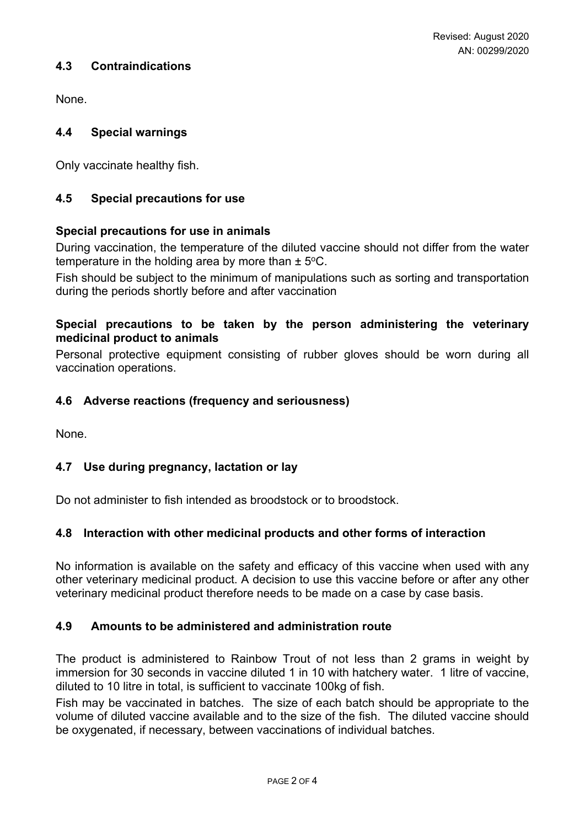## **4.3 Contraindications**

None.

## **4.4 Special warnings**

Only vaccinate healthy fish.

## **4.5 Special precautions for use**

## **Special precautions for use in animals**

During vaccination, the temperature of the diluted vaccine should not differ from the water temperature in the holding area by more than  $\pm$  5°C.

Fish should be subject to the minimum of manipulations such as sorting and transportation during the periods shortly before and after vaccination

### **Special precautions to be taken by the person administering the veterinary medicinal product to animals**

Personal protective equipment consisting of rubber gloves should be worn during all vaccination operations.

## **4.6 Adverse reactions (frequency and seriousness)**

None.

## **4.7 Use during pregnancy, lactation or lay**

Do not administer to fish intended as broodstock or to broodstock.

## **4.8 Interaction with other medicinal products and other forms of interaction**

No information is available on the safety and efficacy of this vaccine when used with any other veterinary medicinal product. A decision to use this vaccine before or after any other veterinary medicinal product therefore needs to be made on a case by case basis.

## **4.9 Amounts to be administered and administration route**

The product is administered to Rainbow Trout of not less than 2 grams in weight by immersion for 30 seconds in vaccine diluted 1 in 10 with hatchery water. 1 litre of vaccine, diluted to 10 litre in total, is sufficient to vaccinate 100kg of fish.

Fish may be vaccinated in batches. The size of each batch should be appropriate to the volume of diluted vaccine available and to the size of the fish. The diluted vaccine should be oxygenated, if necessary, between vaccinations of individual batches.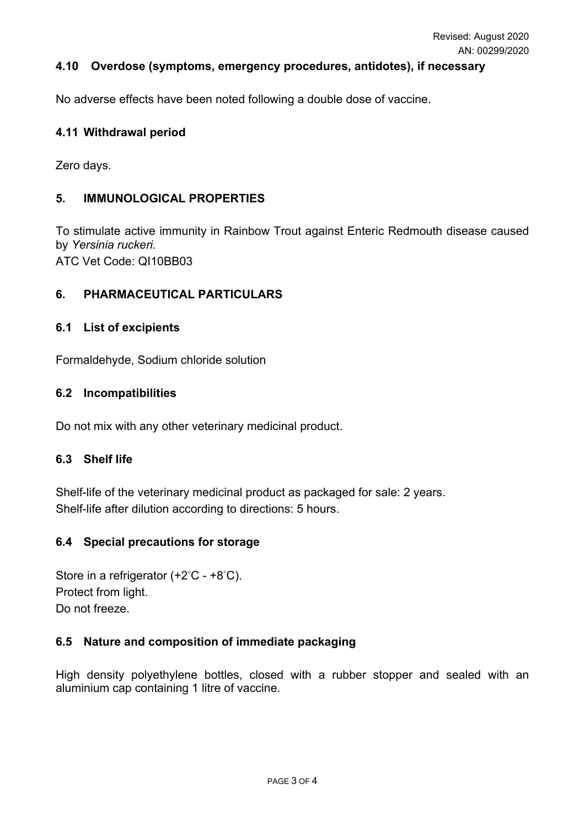### **4.10 Overdose (symptoms, emergency procedures, antidotes), if necessary**

No adverse effects have been noted following a double dose of vaccine.

#### **4.11 Withdrawal period**

Zero days.

### **5. IMMUNOLOGICAL PROPERTIES**

To stimulate active immunity in Rainbow Trout against Enteric Redmouth disease caused by *Yersinia ruckeri.* ATC Vet Code: QI10BB03

#### **6. PHARMACEUTICAL PARTICULARS**

#### **6.1 List of excipients**

Formaldehyde, Sodium chloride solution

#### **6.2 Incompatibilities**

Do not mix with any other veterinary medicinal product.

#### **6.3 Shelf life**

Shelf-life of the veterinary medicinal product as packaged for sale: 2 years. Shelf-life after dilution according to directions: 5 hours.

## **6.4 Special precautions for storage**

Store in a refrigerator  $(+2^{\circ}C - +8^{\circ}C)$ . Protect from light. Do not freeze.

## **6.5 Nature and composition of immediate packaging**

High density polyethylene bottles, closed with a rubber stopper and sealed with an aluminium cap containing 1 litre of vaccine.